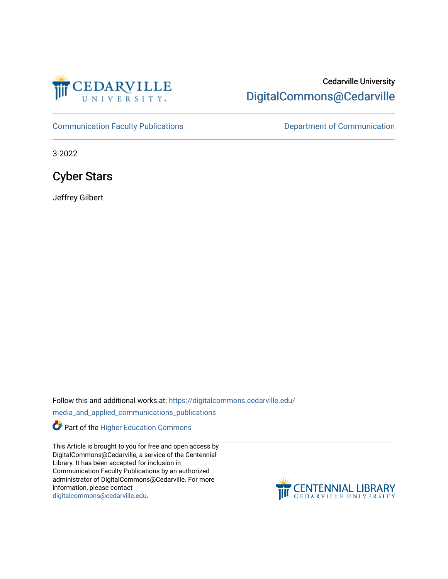

## Cedarville University [DigitalCommons@Cedarville](https://digitalcommons.cedarville.edu/)

[Communication Faculty Publications](https://digitalcommons.cedarville.edu/media_and_applied_communications_publications) **Department of Communication** 

3-2022

Cyber Stars

Jeffrey Gilbert

Follow this and additional works at: [https://digitalcommons.cedarville.edu/](https://digitalcommons.cedarville.edu/media_and_applied_communications_publications?utm_source=digitalcommons.cedarville.edu%2Fmedia_and_applied_communications_publications%2F83&utm_medium=PDF&utm_campaign=PDFCoverPages)

[media\\_and\\_applied\\_communications\\_publications](https://digitalcommons.cedarville.edu/media_and_applied_communications_publications?utm_source=digitalcommons.cedarville.edu%2Fmedia_and_applied_communications_publications%2F83&utm_medium=PDF&utm_campaign=PDFCoverPages) 

Part of the [Higher Education Commons](http://network.bepress.com/hgg/discipline/1245?utm_source=digitalcommons.cedarville.edu%2Fmedia_and_applied_communications_publications%2F83&utm_medium=PDF&utm_campaign=PDFCoverPages) 

This Article is brought to you for free and open access by DigitalCommons@Cedarville, a service of the Centennial Library. It has been accepted for inclusion in Communication Faculty Publications by an authorized administrator of DigitalCommons@Cedarville. For more information, please contact [digitalcommons@cedarville.edu](mailto:digitalcommons@cedarville.edu).

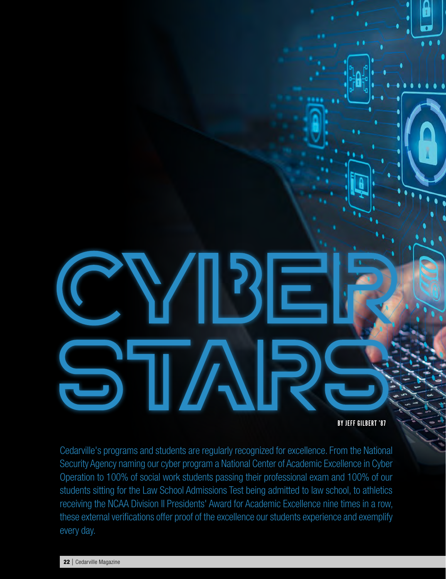BY JEFF GILBERT '87

Cedarville's programs and students are regularly recognized for excellence. From the National Security Agency naming our cyber program a National Center of Academic Excellence in Cyber Operation to 100% of social work students passing their professional exam and 100% of our students sitting for the Law School Admissions Test being admitted to law school, to athletics receiving the NCAA Division II Presidents' Award for Academic Excellence nine times in a row, these external verifications offer proof of the excellence our students experience and exemplify every day.

**TAU** 

 $\mathbf{S}^{\mathsf{L}}$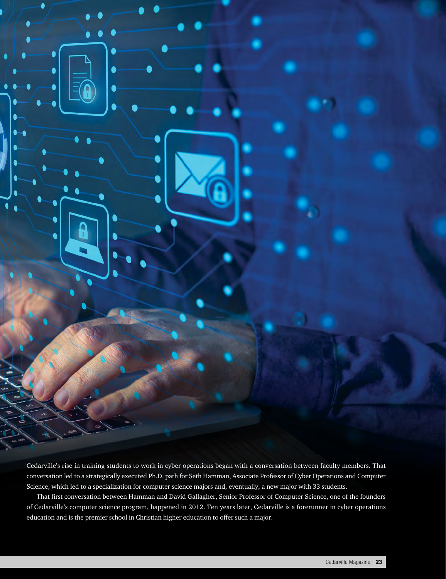

Cedarville's rise in training students to work in cyber operations began with a conversation between faculty members. That conversation led to a strategically executed Ph.D. path for Seth Hamman, Associate Professor of Cyber Operations and Computer Science, which led to a specialization for computer science majors and, eventually, a new major with 33 students.

That first conversation between Hamman and David Gallagher, Senior Professor of Computer Science, one of the founders of Cedarville's computer science program, happened in 2012. Ten years later, Cedarville is a forerunner in cyber operations education and is the premier school in Christian higher education to offer such a major.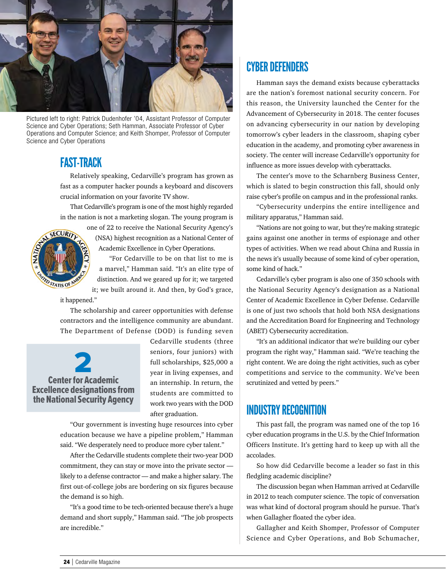

Pictured left to right: Patrick Dudenhofer '04, Assistant Professor of Computer Science and Cyber Operations; Seth Hamman, Associate Professor of Cyber Operations and Computer Science; and Keith Shomper, Professor of Computer Science and Cyber Operations

#### FAST-TRACK

Relatively speaking, Cedarville's program has grown as fast as a computer hacker pounds a keyboard and discovers crucial information on your favorite TV show.

That Cedarville's program is one of the most highly regarded in the nation is not a marketing slogan. The young program is



(NSA) highest recognition as a National Center of Academic Excellence in Cyber Operations.

"For Cedarville to be on that list to me is a marvel," Hamman said. "It's an elite type of distinction. And we geared up for it; we targeted it; we built around it. And then, by God's grace,

it happened."

The scholarship and career opportunities with defense contractors and the intelligence community are abundant. The Department of Defense (DOD) is funding seven

**2** Center for Academic Excellence designations from the National Security Agency

Cedarville students (three seniors, four juniors) with full scholarships, \$25,000 a year in living expenses, and an internship. In return, the students are committed to work two years with the DOD after graduation.

"Our government is investing huge resources into cyber education because we have a pipeline problem," Hamman said. "We desperately need to produce more cyber talent."

After the Cedarville students complete their two-year DOD commitment, they can stay or move into the private sector likely to a defense contractor — and make a higher salary. The first out-of-college jobs are bordering on six figures because the demand is so high.

"It's a good time to be tech-oriented because there's a huge demand and short supply," Hamman said. "The job prospects are incredible."

## CYBER DEFENDERS

Hamman says the demand exists because cyberattacks are the nation's foremost national security concern. For this reason, the University launched the Center for the Advancement of Cybersecurity in 2018. The center focuses on advancing cybersecurity in our nation by developing tomorrow's cyber leaders in the classroom, shaping cyber education in the academy, and promoting cyber awareness in society. The center will increase Cedarville's opportunity for influence as more issues develop with cyberattacks.

The center's move to the Scharnberg Business Center, which is slated to begin construction this fall, should only raise cyber's profile on campus and in the professional ranks.

"Cybersecurity underpins the entire intelligence and military apparatus," Hamman said.

"Nations are not going to war, but they're making strategic gains against one another in terms of espionage and other types of activities. When we read about China and Russia in the news it's usually because of some kind of cyber operation, some kind of hack."

Cedarville's cyber program is also one of 350 schools with the National Security Agency's designation as a National Center of Academic Excellence in Cyber Defense. Cedarville is one of just two schools that hold both NSA designations and the Accreditation Board for Engineering and Technology (ABET) Cybersecurity accreditation.

"It's an additional indicator that we're building our cyber program the right way," Hamman said. "We're teaching the right content. We are doing the right activities, such as cyber competitions and service to the community. We've been scrutinized and vetted by peers."

### INDUSTRY RECOGNITION

This past fall, the program was named one of the top 16 cyber education programs in the U.S. by the Chief Information Officers Institute. It's getting hard to keep up with all the accolades.

So how did Cedarville become a leader so fast in this fledgling academic discipline?

The discussion began when Hamman arrived at Cedarville in 2012 to teach computer science. The topic of conversation was what kind of doctoral program should he pursue. That's when Gallagher floated the cyber idea.

Gallagher and Keith Shomper, Professor of Computer Science and Cyber Operations, and Bob Schumacher,